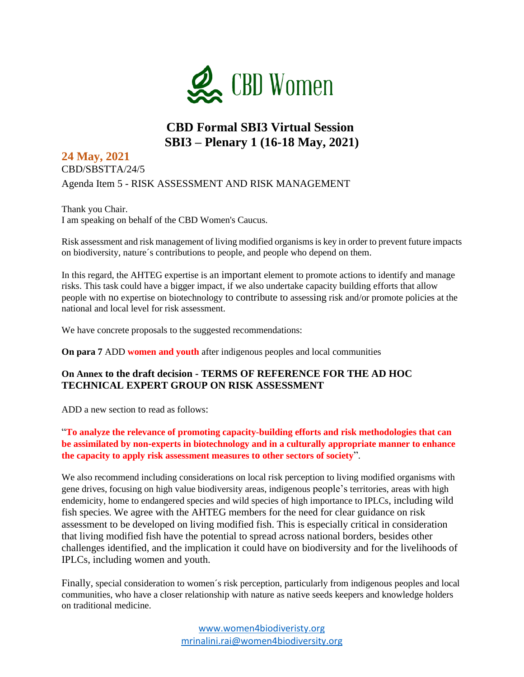

## **CBD Formal SBI3 Virtual Session SBI3 – Plenary 1 (16-18 May, 2021)**

### **24 May, 2021**  CBD/SBSTTA/24/5 Agenda Item 5 - RISK ASSESSMENT AND RISK MANAGEMENT

Thank you Chair. I am speaking on behalf of the CBD Women's Caucus.

Risk assessment and risk management of living modified organisms is key in order to prevent future impacts on biodiversity, nature´s contributions to people, and people who depend on them.

In this regard, the AHTEG expertise is an important element to promote actions to identify and manage risks. This task could have a bigger impact, if we also undertake capacity building efforts that allow people with no expertise on biotechnology to contribute to assessing risk and/or promote policies at the national and local level for risk assessment.

We have concrete proposals to the suggested recommendations:

**On para 7** ADD **women and youth** after indigenous peoples and local communities

#### **On Annex to the draft decision - TERMS OF REFERENCE FOR THE AD HOC TECHNICAL EXPERT GROUP ON RISK ASSESSMENT**

ADD a new section to read as follows:

"**To analyze the relevance of promoting capacity-building efforts and risk methodologies that can be assimilated by non-experts in biotechnology and in a culturally appropriate manner to enhance the capacity to apply risk assessment measures to other sectors of society**".

We also recommend including considerations on local risk perception to living modified organisms with gene drives, focusing on high value biodiversity areas, indigenous people's territories, areas with high endemicity, home to endangered species and wild species of high importance to IPLCs, including wild fish species. We agree with the AHTEG members for the need for clear guidance on risk assessment to be developed on living modified fish. This is especially critical in consideration that living modified fish have the potential to spread across national borders, besides other challenges identified, and the implication it could have on biodiversity and for the livelihoods of IPLCs, including women and youth.

Finally, special consideration to women´s risk perception, particularly from indigenous peoples and local communities, who have a closer relationship with nature as native seeds keepers and knowledge holders on traditional medicine.